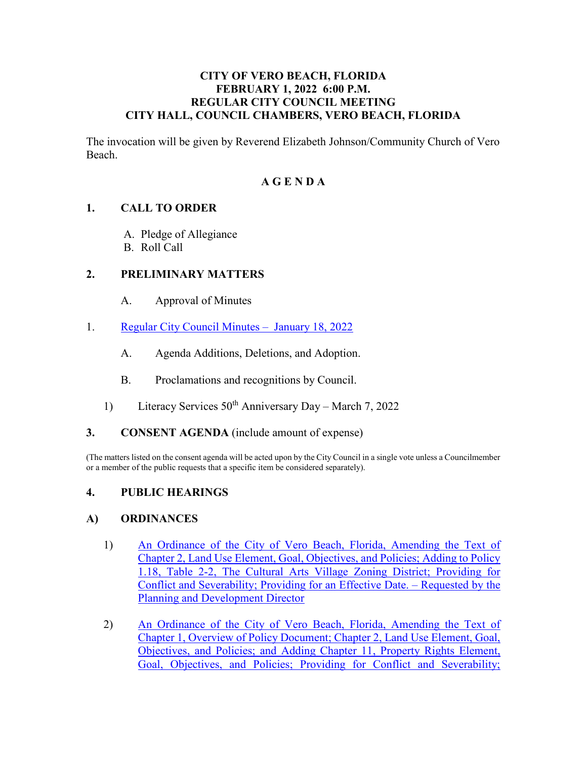### **CITY OF VERO BEACH, FLORIDA FEBRUARY 1, 2022 6:00 P.M. REGULAR CITY COUNCIL MEETING CITY HALL, COUNCIL CHAMBERS, VERO BEACH, FLORIDA**

The invocation will be given by Reverend Elizabeth Johnson/Community Church of Vero Beach.

# **A G E N D A**

# **1. CALL TO ORDER**

- A. Pledge of Allegiance
- B. Roll Call

# **2. PRELIMINARY MATTERS**

- $A<sub>1</sub>$ Approval of Minutes
- 1. Regular City Council Minutes January 18, 2022
	- A. Agenda Additions, Deletions, and Adoption.
	- B. Proclamations and recognitions by Council.
	- 1) Literacy Services 50<sup>th</sup> Anniversary Day March 7, 2022
- **3. CONSENT AGENDA** (include amount of expense)

(The matters listed on the consent agenda will be acted upon by the City Council in a single vote unless a Councilmember or a member of the public requests that a specific item be considered separately).

# **4. PUBLIC HEARINGS**

# **A) ORDINANCES**

- [Conflict and Severability; Providing for an Effective Date. Requested by the](https://www.covb.org/DocumentCenter/View/5676/4A-1)  [1\) An Ordinance of the City of Vero Beach, Florida, Amending the Text of](https://www.covb.org/DocumentCenter/View/5676/4A-1)  [Chapter 2, Land Use Element, Goal, Objectives, and Policies; Adding to Policy](https://www.covb.org/DocumentCenter/View/5676/4A-1)  [1.18, Table 2-2, The Cultural Arts Village Zoning District; Providing for](https://www.covb.org/DocumentCenter/View/5676/4A-1)  [Planning and Development Director](https://www.covb.org/DocumentCenter/View/5676/4A-1)
- [2\) An Ordinance of the City of Vero Beach, Florida, Amending the Text of](https://www.covb.org/DocumentCenter/View/5677/4A-2)  [Chapter 1, Overview of Policy Document; Chapter 2, Land Use Element, Goal,](https://www.covb.org/DocumentCenter/View/5677/4A-2)  [Objectives, and Policies; and Adding Chapter 11, Property Rights Element,](https://www.covb.org/DocumentCenter/View/5677/4A-2)  [Goal, Objectives, and Policies; Providing for Conflict and Severability;](https://www.covb.org/DocumentCenter/View/5677/4A-2)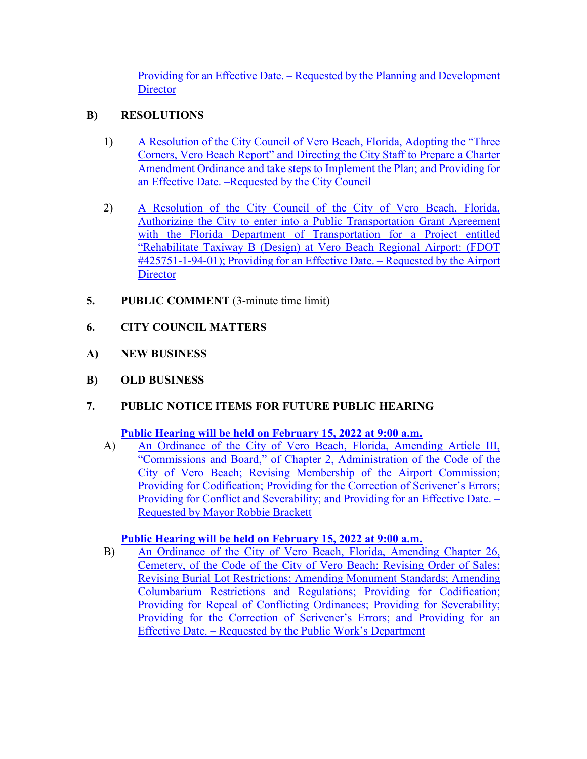[Providing for an Effective Date. – Requested by the Planning and Development](https://www.covb.org/DocumentCenter/View/5677/4A-2)  **Director** 

# **B) RESOLUTIONS**

- [Corners, Vero Beach Report" and Directing the City Staff to Prepare a Charter](https://www.covb.org/DocumentCenter/View/5678/4B-1)  [Amendment Ordinance and take steps to Implement the Plan; and Providing for](https://www.covb.org/DocumentCenter/View/5678/4B-1)  1) A Resolution of the City Council of Vero Beach, Florida, Adopting the "Three" [an Effective Date. –Requested by the City Council](https://www.covb.org/DocumentCenter/View/5678/4B-1)
- [#425751-1-94-01\); Providing for an Effective Date. Requested by the Airport](https://www.covb.org/DocumentCenter/View/5679/4B-2)  [2\) A Resolution of the City Council of the City of Vero Beach, Florida,](https://www.covb.org/DocumentCenter/View/5679/4B-2)  [Authorizing the City to enter into a Public Transportation Grant Agreement](https://www.covb.org/DocumentCenter/View/5679/4B-2)  [with the Florida Department of Transportation for a Project entitled](https://www.covb.org/DocumentCenter/View/5679/4B-2)  ["Rehabilitate Taxiway B \(Design\) at Vero Beach Regional Airport: \(FDOT](https://www.covb.org/DocumentCenter/View/5679/4B-2)  **Director**
- **5. PUBLIC COMMENT** (3-minute time limit)
- **6. CITY COUNCIL MATTERS**
- **A) NEW BUSINESS**
- **B) OLD BUSINESS**

# **PUBLIC NOTICE ITEMS FOR FUTURE PUBLIC HEARING 7. PUBLIC NOTICE ITEMS FOR FUTURE PUBLIC HEARIN**<br>**Public Hearing will be held on February 15, 2022 at 9:00 a.m.**

A) An Ordinance of the City of Vero Beach, Florida, Amending Article III, ["Commissions and Board," of Chapter 2, Administration of the Code of the](https://www.covb.org/DocumentCenter/View/5680/7-A)  [City of Vero Beach; Revising Membership of the Airport Commission;](https://www.covb.org/DocumentCenter/View/5680/7-A)  [Providing for Codification; Providing for the Correction of Scrivener's Errors;](https://www.covb.org/DocumentCenter/View/5680/7-A)  [Providing for Conflict and Severability; and Providing for an Effective Date. –](https://www.covb.org/DocumentCenter/View/5680/7-A)  [Requested by Mayor Robbie Brackett](https://www.covb.org/DocumentCenter/View/5680/7-A) 

# **[Public Hearing will be held on February 15, 2022 at 9:00 a.m.](https://www.covb.org/DocumentCenter/View/5681/7-B)**

B) An Ordinance of the City of Vero Beach, Florida, Amending Chapter 26, [Cemetery, of the Code of the City of Vero Beach; Revising Order of Sales;](https://www.covb.org/DocumentCenter/View/5681/7-B)  [Revising Burial Lot Restrictions; Amending Monument Standards; Amending](https://www.covb.org/DocumentCenter/View/5681/7-B)  [Columbarium Restrictions and Regulations; Providing for Codification;](https://www.covb.org/DocumentCenter/View/5681/7-B)  [Providing for Repeal of Conflicting Ordinances; Providing for Severability;](https://www.covb.org/DocumentCenter/View/5681/7-B)  [Providing for the Correction of Scrivener's Errors; and Providing for an](https://www.covb.org/DocumentCenter/View/5681/7-B)  [Effective Date. – Requested by the Public Work's Department](https://www.covb.org/DocumentCenter/View/5681/7-B)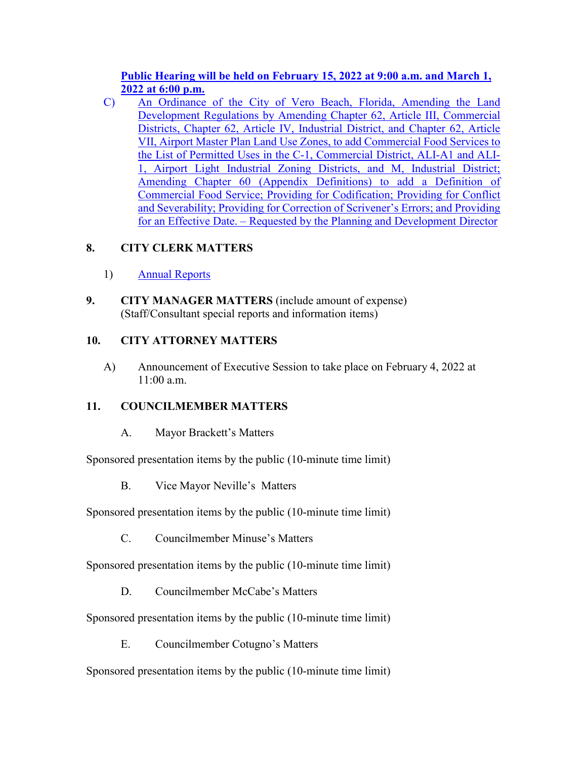# **[Public Hearing will be held on February 15, 2022 at 9:00 a.m. and March 1,](https://www.covb.org/DocumentCenter/View/5673/7-C)  [2022 at 6:00 p.m.](https://www.covb.org/DocumentCenter/View/5673/7-C)**

 [Development Regulations by Amending Chapter 62, Article III, Commercial](https://www.covb.org/DocumentCenter/View/5673/7-C)  [Districts, Chapter 62, Article IV, Industrial District, and Chapter 62, Article](https://www.covb.org/DocumentCenter/View/5673/7-C)  [C\) An Ordinance of the City of Vero Beach, Florida, Amending the Land](https://www.covb.org/DocumentCenter/View/5673/7-C)  [VII, Airport Master Plan Land Use Zones, to add Commercial Food Services to](https://www.covb.org/DocumentCenter/View/5673/7-C)  [the List of Permitted Uses in the C-1, Commercial District, ALI-A1 and ALI-](https://www.covb.org/DocumentCenter/View/5673/7-C)[1, Airport Light Industrial Zoning Districts, and M, Industrial District;](https://www.covb.org/DocumentCenter/View/5673/7-C)  [Amending Chapter 60 \(Appendix Definitions\) to add a Definition of](https://www.covb.org/DocumentCenter/View/5673/7-C)  [Commercial Food Service; Providing for Codification; Providing for Conflict](https://www.covb.org/DocumentCenter/View/5673/7-C)  [and Severability; Providing for Correction of Scrivener's Errors; and Providing](https://www.covb.org/DocumentCenter/View/5673/7-C)  [for an Effective Date. – Requested by the Planning and Development Director](https://www.covb.org/DocumentCenter/View/5673/7-C) 

# **8. CITY CLERK MATTERS**

- 1) [Annual Reports](https://www.covb.org/DocumentCenter/View/5674/8-1)
- $\overline{9}$ .  (Staff/Consultant special reports and information items) **9. CITY MANAGER MATTERS** (include amount of expense)

# **10. CITY ATTORNEY MATTERS**

A) Announcement of Executive Session to take place on February 4, 2022 at 11:00 a.m.

# **11. COUNCILMEMBER MATTERS**

A. Mayor Brackett's Matters

Sponsored presentation items by the public (10-minute time limit)

B. Vice Mayor Neville's Matters

Sponsored presentation items by the public (10-minute time limit)

C. Councilmember Minuse's Matters

Sponsored presentation items by the public (10-minute time limit)

D. Councilmember McCabe's Matters

Sponsored presentation items by the public (10-minute time limit)

E. Councilmember Cotugno's Matters

Sponsored presentation items by the public (10-minute time limit)